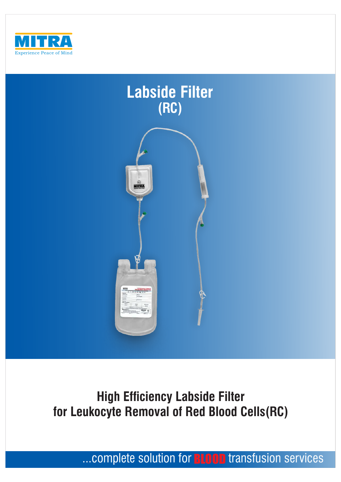



# **High Efficiency Labside Filter for Leukocyte Removal of Red Blood Cells(RC)**

...complete solution for **BLOOD** transfusion services